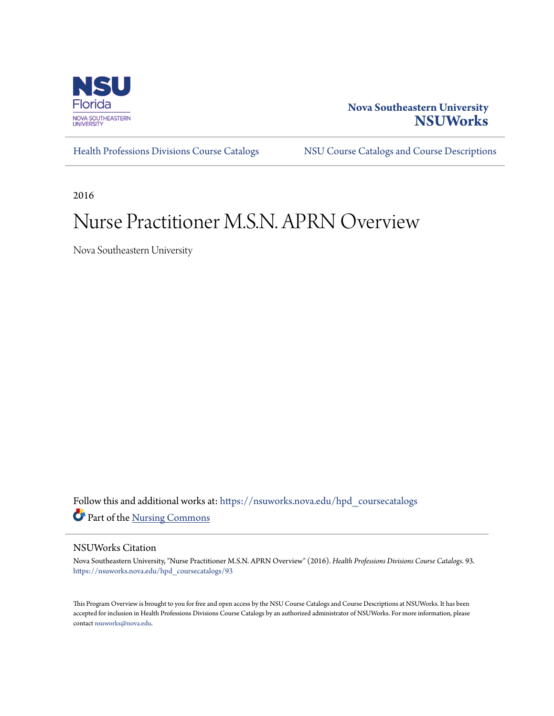

# **Nova Southeastern University [NSUWorks](https://nsuworks.nova.edu?utm_source=nsuworks.nova.edu%2Fhpd_coursecatalogs%2F93&utm_medium=PDF&utm_campaign=PDFCoverPages)**

[Health Professions Divisions Course Catalogs](https://nsuworks.nova.edu/hpd_coursecatalogs?utm_source=nsuworks.nova.edu%2Fhpd_coursecatalogs%2F93&utm_medium=PDF&utm_campaign=PDFCoverPages) [NSU Course Catalogs and Course Descriptions](https://nsuworks.nova.edu/nsu_catalogs?utm_source=nsuworks.nova.edu%2Fhpd_coursecatalogs%2F93&utm_medium=PDF&utm_campaign=PDFCoverPages)

2016

# Nurse Practitioner M.S.N. APRN Overview

Nova Southeastern University

Follow this and additional works at: [https://nsuworks.nova.edu/hpd\\_coursecatalogs](https://nsuworks.nova.edu/hpd_coursecatalogs?utm_source=nsuworks.nova.edu%2Fhpd_coursecatalogs%2F93&utm_medium=PDF&utm_campaign=PDFCoverPages) Part of the [Nursing Commons](http://network.bepress.com/hgg/discipline/718?utm_source=nsuworks.nova.edu%2Fhpd_coursecatalogs%2F93&utm_medium=PDF&utm_campaign=PDFCoverPages)

## NSUWorks Citation

Nova Southeastern University, "Nurse Practitioner M.S.N. APRN Overview" (2016). *Health Professions Divisions Course Catalogs*. 93. [https://nsuworks.nova.edu/hpd\\_coursecatalogs/93](https://nsuworks.nova.edu/hpd_coursecatalogs/93?utm_source=nsuworks.nova.edu%2Fhpd_coursecatalogs%2F93&utm_medium=PDF&utm_campaign=PDFCoverPages)

This Program Overview is brought to you for free and open access by the NSU Course Catalogs and Course Descriptions at NSUWorks. It has been accepted for inclusion in Health Professions Divisions Course Catalogs by an authorized administrator of NSUWorks. For more information, please contact [nsuworks@nova.edu](mailto:nsuworks@nova.edu).